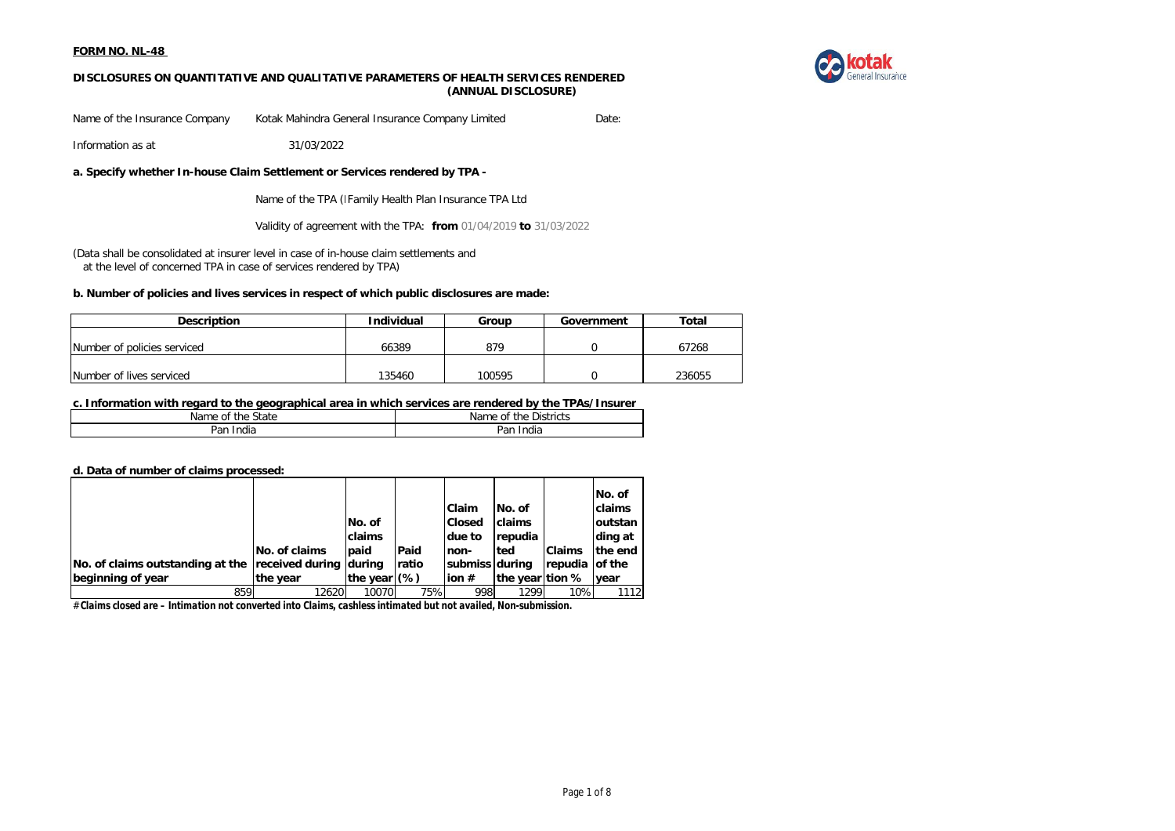

## **DISCLOSURES ON QUANTITATIVE AND QUALITATIVE PARAMETERS OF HEALTH SERVICES RENDERED (ANNUAL DISCLOSURE)**

Name of the Insurance Company Kotak Mahindra General Insurance Company Limited Date:

Information as at 31/03/2022

**a. Specify whether In-house Claim Settlement or Services rendered by TPA -**

Name of the TPA (I Family Health Plan Insurance TPA Ltd

Validity of agreement with the TPA: **from** 01/04/2019 **to** 31/03/2022

(Data shall be consolidated at insurer level in case of in-house claim settlements and at the level of concerned TPA in case of services rendered by TPA)

### **b. Number of policies and lives services in respect of which public disclosures are made:**

| <b>Description</b>          | Individual<br>Group |        | Government | Total  |
|-----------------------------|---------------------|--------|------------|--------|
| Number of policies serviced | 66389               | 879    |            | 67268  |
| Number of lives serviced    | 135460              | 100595 |            | 236055 |

### **c. Information with regard to the geographical area in which services are rendered by the TPAs/Insurer**

| $\sim$           | --           |
|------------------|--------------|
| State            | Districts    |
| the              | Name         |
| Name             | the          |
| 0f               | 01           |
| <br>India<br>⊵an | Pan<br>India |

#### **d. Data of number of claims processed:**

|                                                         |               |                |       |                |                 |                | INo. of       |
|---------------------------------------------------------|---------------|----------------|-------|----------------|-----------------|----------------|---------------|
|                                                         |               |                |       | <b>Claim</b>   | No. of          |                | <b>claims</b> |
|                                                         |               | No. of         |       | <b>Closed</b>  | <b>Iclaims</b>  |                | loutstan      |
|                                                         |               | claims         |       | due to         | <b>Irepudia</b> |                | ding at       |
|                                                         | No. of claims | paid           | Paid  | non-           | <b>ted</b>      | <b>Claims</b>  | the end       |
| No. of claims outstanding at the received during during |               |                | ratio | submiss during |                 | repudia of the |               |
| beginning of year                                       | the year      | the year $(%)$ |       | ion $#$        | the year tion % |                | year          |
| 859                                                     | 12620         | 10070          | 75%   | 998            | 1299            | 10%            | 1112          |

# *Claims closed are – Intimation not converted into Claims, cashless intimated but not availed, Non-submission.*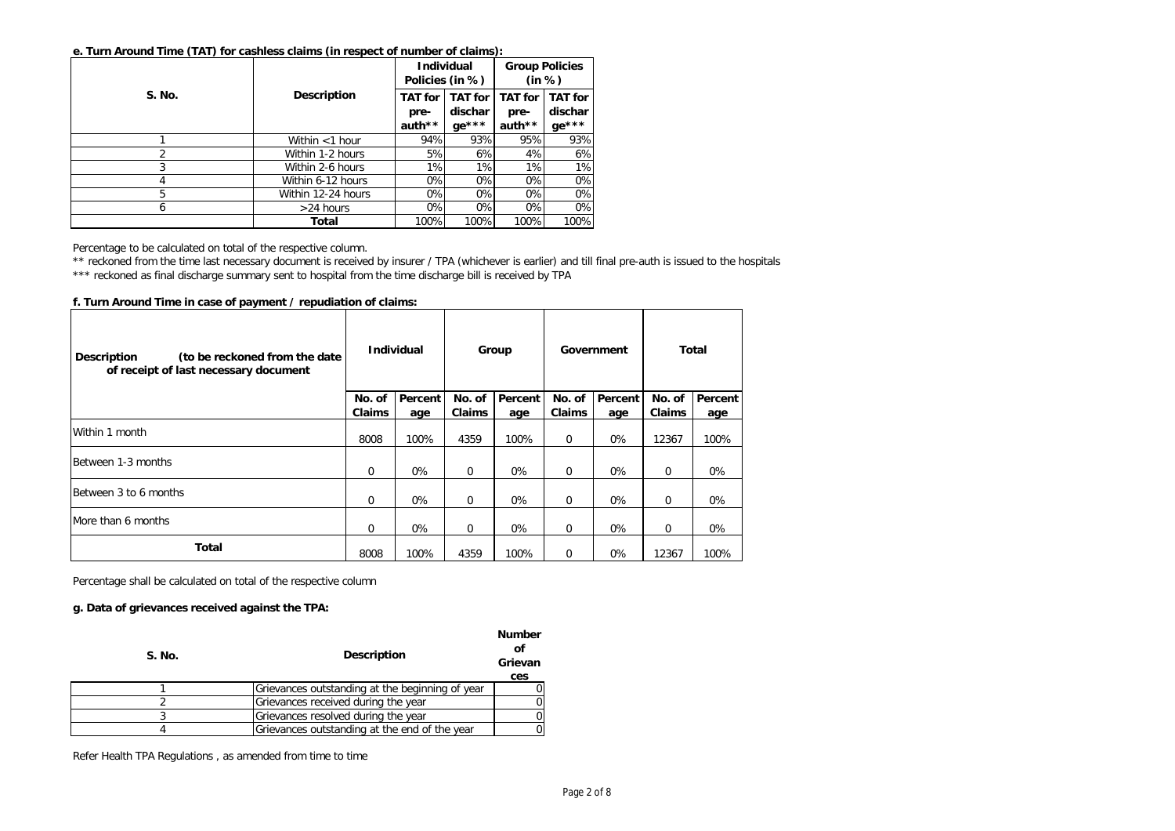|               |                    | Policies (in %)                  | <b>Individual</b>                    | <b>Group Policies</b><br>(in %)  |                                      |  |
|---------------|--------------------|----------------------------------|--------------------------------------|----------------------------------|--------------------------------------|--|
| <b>S. No.</b> | <b>Description</b> | <b>TAT for</b><br>pre-<br>auth** | <b>TAT for</b><br>dischar<br>$ge***$ | <b>TAT</b> for<br>pre-<br>auth** | <b>TAT for</b><br>dischar<br>$ge***$ |  |
|               | Within $<$ 1 hour  | 94%                              | 93%                                  | 95%                              | 93%                                  |  |
|               | Within 1-2 hours   | 5%                               | 6%                                   | 4%                               | 6%                                   |  |
|               | Within 2-6 hours   | 1%                               | 1%                                   | 1%                               | 1%                                   |  |
| 4             | Within 6-12 hours  | 0%                               | 0%                                   | 0%                               | 0%                                   |  |
| 5             | Within 12-24 hours | 0%                               | 0%                                   | 0%                               | 0%                                   |  |
| 6             | $>24$ hours        | 0%                               | 0%                                   | 0%                               | 0%                                   |  |
|               | Total              | 100%                             | 100%                                 | 100%                             | 100%                                 |  |

Percentage to be calculated on total of the respective column.

\*\* reckoned from the time last necessary document is received by insurer / TPA (whichever is earlier) and till final pre-auth is issued to the hospitals

\*\*\* reckoned as final discharge summary sent to hospital from the time discharge bill is received by TPA

**f. Turn Around Time in case of payment / repudiation of claims:**

| (to be reckoned from the date<br><b>Description</b><br>of receipt of last necessary document |                         | <b>Individual</b> |                         | Group          |                         | Government     |                         | Total          |  |
|----------------------------------------------------------------------------------------------|-------------------------|-------------------|-------------------------|----------------|-------------------------|----------------|-------------------------|----------------|--|
|                                                                                              | No. of<br><b>Claims</b> | Percent<br>age    | No. of<br><b>Claims</b> | Percent<br>age | No. of<br><b>Claims</b> | Percent<br>age | No. of<br><b>Claims</b> | Percent<br>age |  |
| Within 1 month                                                                               | 8008                    | 100%              | 4359                    | 100%           | $\mathbf 0$             | 0%             | 12367                   | 100%           |  |
| Between 1-3 months                                                                           | $\mathbf 0$             | 0%                | $\mathbf 0$             | 0%             | $\mathbf 0$             | 0%             | $\mathbf 0$             | 0%             |  |
| Between 3 to 6 months                                                                        | $\mathbf 0$             | 0%                | $\Omega$                | 0%             | $\mathbf 0$             | 0%             | $\Omega$                | 0%             |  |
| More than 6 months                                                                           | $\Omega$                | 0%                | 0                       | 0%             | $\mathbf 0$             | 0%             | $\Omega$                | 0%             |  |
| Total                                                                                        | 8008                    | 100%              | 4359                    | 100%           | $\mathbf 0$             | 0%             | 12367                   | 100%           |  |

Percentage shall be calculated on total of the respective column

### **g. Data of grievances received against the TPA:**

| S. No. | <b>Description</b>                              | <b>Number</b><br>οf<br>Grievan<br>ces |
|--------|-------------------------------------------------|---------------------------------------|
|        | Grievances outstanding at the beginning of year |                                       |
|        | Grievances received during the year             |                                       |
|        | Grievances resolved during the year             |                                       |
|        | Grievances outstanding at the end of the year   |                                       |

Refer Health TPA Regulations , as amended from time to time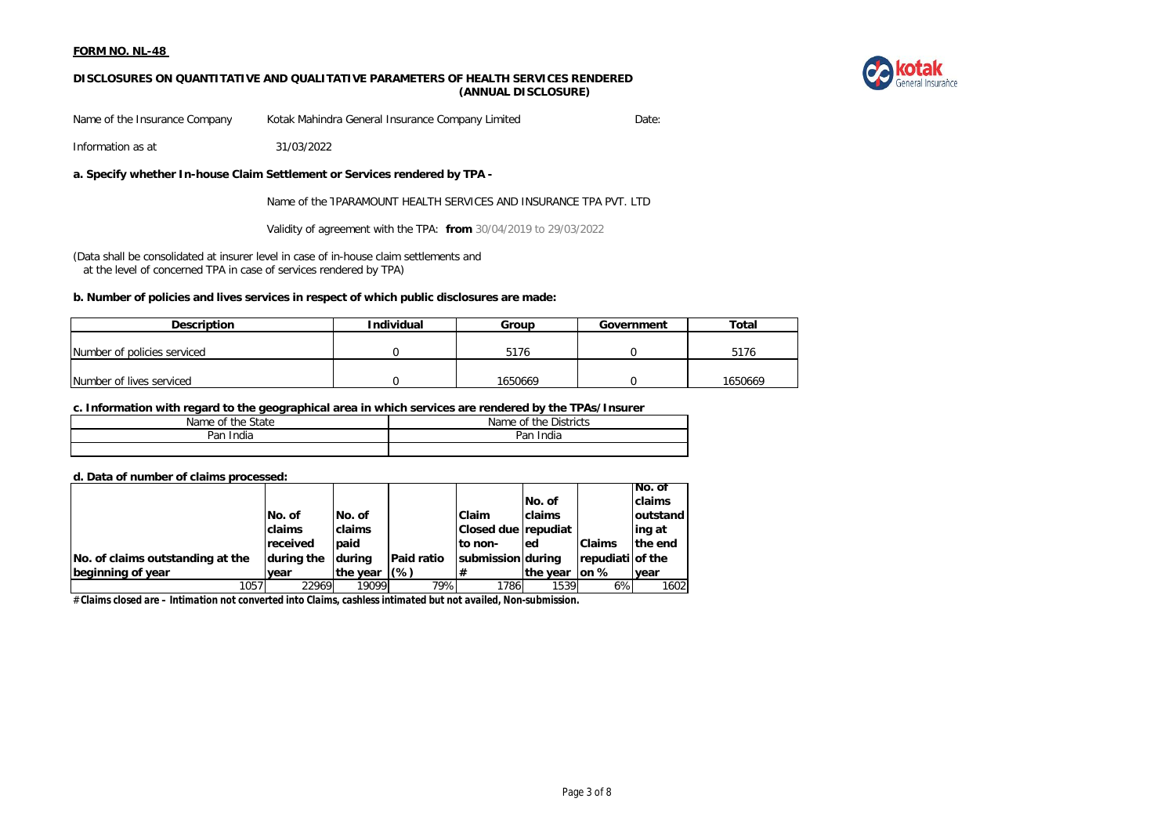



Name of the Insurance Company Kotak Mahindra General Insurance Company Limited Date:

Information as at 31/03/2022

# **a. Specify whether In-house Claim Settlement or Services rendered by TPA -**

Name of the TPARAMOUNT HEALTH SERVICES AND INSURANCE TPA PVT. LTD

Validity of agreement with the TPA: **from** 30/04/2019 to 29/03/2022

(Data shall be consolidated at insurer level in case of in-house claim settlements and at the level of concerned TPA in case of services rendered by TPA)

### **b. Number of policies and lives services in respect of which public disclosures are made:**

| <b>Description</b>          | <b>Individual</b> | Group   | Government | Total   |
|-----------------------------|-------------------|---------|------------|---------|
|                             |                   |         |            |         |
| Number of policies serviced |                   | 5176    |            | 5176    |
|                             |                   |         |            |         |
| Number of lives serviced    |                   | 1650669 |            | 1650669 |

#### **c. Information with regard to the geographical area in which services are rendered by the TPAs/Insurer**

| State<br>the.<br>Name<br>0t | Districts<br>Name of<br>the |
|-----------------------------|-----------------------------|
| Par<br>India                | Par<br>'ndia                |
|                             |                             |

#### **d. Data of number of claims processed:**

|                                  |                 |               |                   |                          |          |                      | INo. of       |
|----------------------------------|-----------------|---------------|-------------------|--------------------------|----------|----------------------|---------------|
|                                  |                 |               |                   |                          | No. of   |                      | <b>claims</b> |
|                                  | No. of          | INo. of       |                   | <b>Claim</b>             | claims   |                      | loutstand     |
|                                  | claims          | <b>claims</b> |                   | Closed due repudiat      |          |                      | ling at       |
|                                  | <b>received</b> | <b>l</b> paid |                   | to non-                  | led      | <b>Claims</b>        | the end       |
| No. of claims outstanding at the | during the      | Idurina       | <b>Paid ratio</b> | <b>submission during</b> |          | repudiati of the     |               |
| beginning of year                | vear            | the year      | $(\%)$            | #                        | the year | $\mathsf{lon} \, \%$ | vear          |
| 1057                             | 22969           | 19099         | 79%               | 1786                     | 1539     | 6%                   | 1602          |

# *Claims closed are – Intimation not converted into Claims, cashless intimated but not availed, Non-submission.*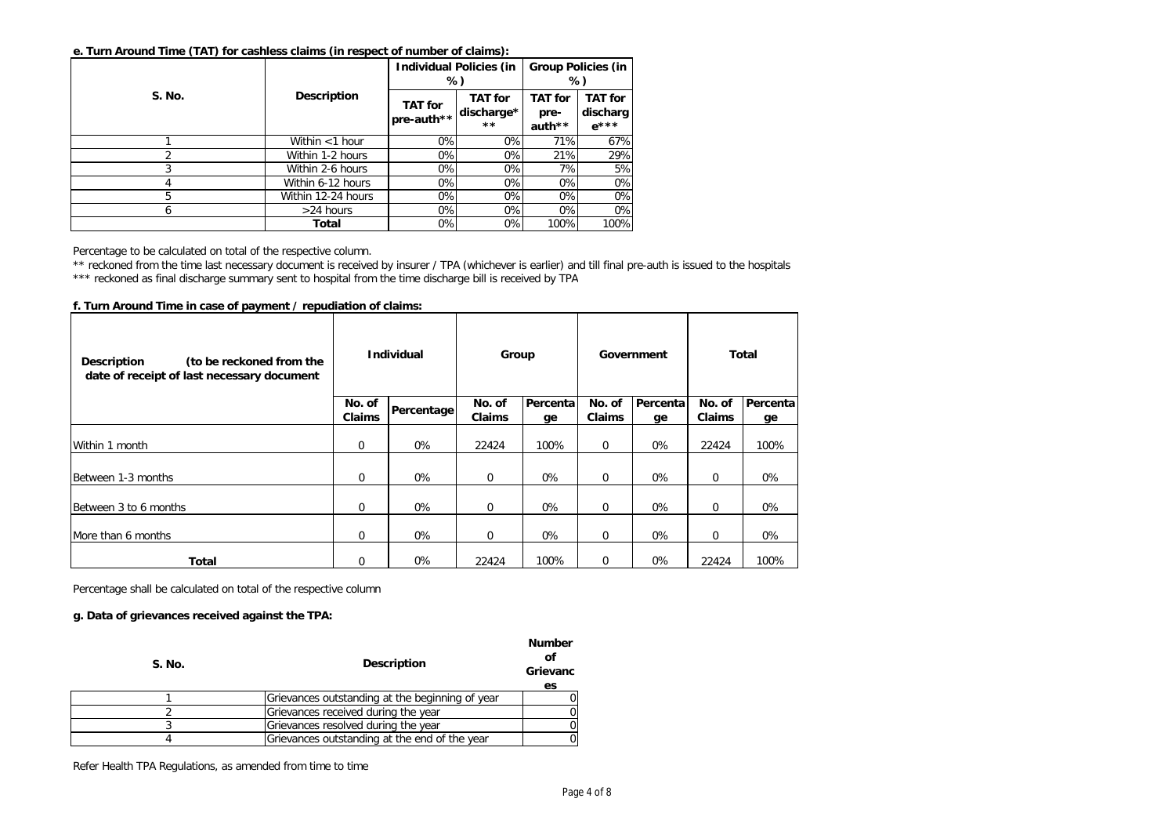|               |                    | <b>Individual Policies (in</b><br>%) |                                              | <b>Group Policies (in</b><br>%)  |                                         |  |
|---------------|--------------------|--------------------------------------|----------------------------------------------|----------------------------------|-----------------------------------------|--|
| <b>S. No.</b> | <b>Description</b> | <b>TAT</b> for<br>pre-auth**         | <b>TAT for</b><br>discharge*<br>$\star\star$ | <b>TAT</b> for<br>pre-<br>auth** | <b>TAT</b> for<br>discharg<br>$e^{***}$ |  |
|               | Within <1 hour     | 0%                                   | $0\%$                                        | 71%                              | 67%                                     |  |
|               | Within 1-2 hours   | 0%                                   | 0%                                           | 21%                              | 29%                                     |  |
|               | Within 2-6 hours   | 0%                                   | 0%                                           | 7%                               | 5%                                      |  |
|               | Within 6-12 hours  | 0%                                   | 0%                                           | 0%                               | 0%                                      |  |
| 5             | Within 12-24 hours | 0%                                   | 0%                                           | 0%                               | 0%                                      |  |
| 6             | $>24$ hours        | 0%                                   | 0%                                           | 0%                               | 0%                                      |  |
|               | Total              | 0%                                   | 0%                                           | 100%                             | 100%                                    |  |

Percentage to be calculated on total of the respective column.

\*\* reckoned from the time last necessary document is received by insurer / TPA (whichever is earlier) and till final pre-auth is issued to the hospitals

\*\*\* reckoned as final discharge summary sent to hospital from the time discharge bill is received by TPA

| (to be reckoned from the<br>Description<br>date of receipt of last necessary document | <b>Individual</b> |            | Group                   |                | Government              |                 | Total            |                |
|---------------------------------------------------------------------------------------|-------------------|------------|-------------------------|----------------|-------------------------|-----------------|------------------|----------------|
|                                                                                       | No. of<br>Claims  | Percentage | No. of<br><b>Claims</b> | Percenta<br>ge | No. of<br><b>Claims</b> | Percental<br>ge | No. of<br>Claims | Percenta<br>ge |
| Within 1 month                                                                        | 0                 | 0%         | 22424                   | 100%           | 0                       | 0%              | 22424            | 100%           |
| Between 1-3 months                                                                    | 0                 | 0%         | $\mathbf 0$             | 0%             | $\mathbf 0$             | 0%              | $\mathbf 0$      | 0%             |
| Between 3 to 6 months                                                                 | 0                 | 0%         | $\mathbf 0$             | 0%             | 0                       | 0%              | $\mathbf 0$      | 0%             |
| More than 6 months                                                                    | 0                 | 0%         | $\mathbf 0$             | 0%             | 0                       | 0%              | $\mathbf 0$      | 0%             |
| Total                                                                                 | 0                 | 0%         | 22424                   | 100%           | 0                       | $0\%$           | 22424            | 100%           |

**f. Turn Around Time in case of payment / repudiation of claims:**

Percentage shall be calculated on total of the respective column

# **g. Data of grievances received against the TPA:**

| S. No. | <b>Description</b>                              | <b>Number</b><br>Οl<br>Grievanc<br>es |
|--------|-------------------------------------------------|---------------------------------------|
|        | Grievances outstanding at the beginning of year |                                       |
|        | Grievances received during the year             |                                       |
|        | Grievances resolved during the year             |                                       |
|        | Grievances outstanding at the end of the year   |                                       |

Refer Health TPA Regulations, as amended from time to time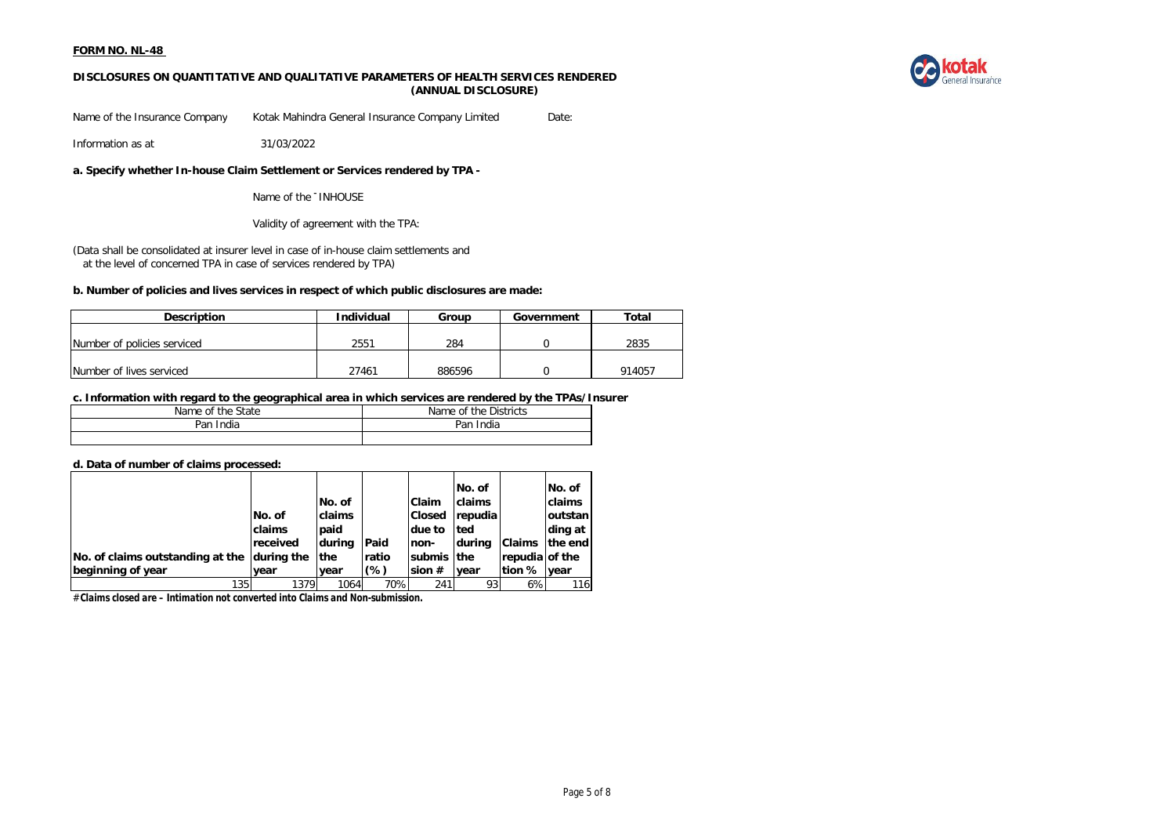

## **DISCLOSURES ON QUANTITATIVE AND QUALITATIVE PARAMETERS OF HEALTH SERVICES RENDERED (ANNUAL DISCLOSURE)**

Name of the Insurance Company Kotak Mahindra General Insurance Company Limited Date:

Information as at 31/03/2022

**a. Specify whether In-house Claim Settlement or Services rendered by TPA -**

Name of the TINHOUSE

Validity of agreement with the TPA:

(Data shall be consolidated at insurer level in case of in-house claim settlements and at the level of concerned TPA in case of services rendered by TPA)

### **b. Number of policies and lives services in respect of which public disclosures are made:**

| <b>Description</b>          | Individual | Group<br>Government |  | Total  |
|-----------------------------|------------|---------------------|--|--------|
|                             |            |                     |  |        |
| Number of policies serviced | 2551       | 284                 |  | 2835   |
|                             |            |                     |  |        |
| Number of lives serviced    | 27461      | 886596              |  | 914057 |

### **c. Information with regard to the geographical area in which services are rendered by the TPAs/Insurer**

| the State<br>Name of | Name of the Districts |  |  |
|----------------------|-----------------------|--|--|
| Pan<br>India         | Pan<br>India          |  |  |
|                      |                       |  |  |

#### **d. Data of number of claims processed:**

|                                  |             |            |       |               | No. of      |                | No. of          |
|----------------------------------|-------------|------------|-------|---------------|-------------|----------------|-----------------|
|                                  |             | No. of     |       | Claim         | claims      |                | claims          |
|                                  | No. of      | claims     |       | <b>Closed</b> | repudia     |                | <b>loutstan</b> |
|                                  | claims      | paid       |       | due to        | <b>Ited</b> |                | ding at         |
|                                  | received    | during     | Paid  | non-          | Idurina     | <b>Claims</b>  | the end         |
| No. of claims outstanding at the | during the  | <b>the</b> | ratio | submis the    |             | repudia of the |                 |
| beginning of year                | <b>vear</b> | vear       | (%)   | sion $#$      | vear        | tion % year    |                 |
| $1351$                           | 1379        | 1064       | 70%   | 241           | 93          | 6%             | 116             |

# *Claims closed are – Intimation not converted into Claims and Non-submission.*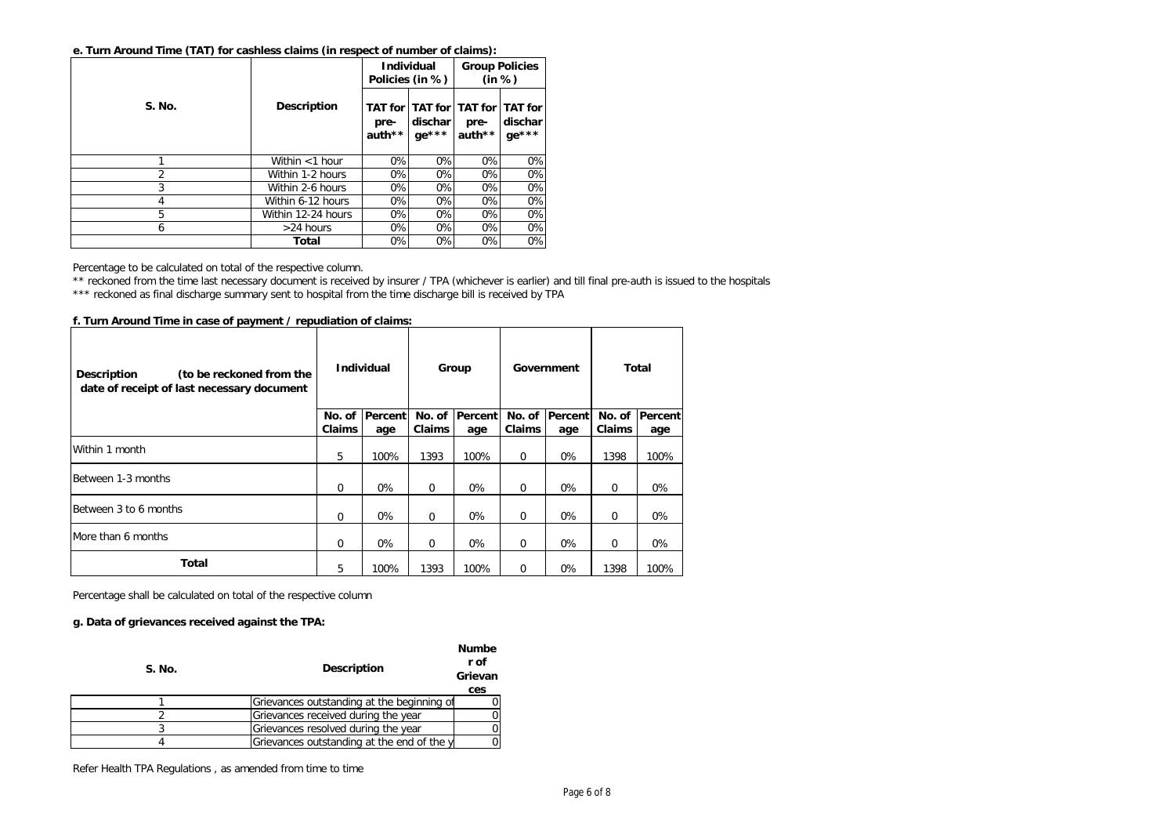|        |                    | <b>Individual</b><br>Policies (in %) |                      | <b>Group Policies</b><br>(in %)                   |                    |  |
|--------|--------------------|--------------------------------------|----------------------|---------------------------------------------------|--------------------|--|
| S. No. | <b>Description</b> | pre-<br>auth**                       | dischar l<br>$ge***$ | TAT for TAT for TAT for TAT for<br>pre-<br>auth** | dischar<br>$ge***$ |  |
|        | Within $<$ 1 hour  | 0%                                   | 0%                   | 0%                                                | 0%                 |  |
| 2      | Within 1-2 hours   | 0%                                   | 0%                   | 0%                                                | 0%                 |  |
| 3      | Within 2-6 hours   | 0%                                   | 0%                   | 0%                                                | 0%                 |  |
| 4      | Within 6-12 hours  | 0%                                   | 0%                   | 0%                                                | 0%                 |  |
| 5      | Within 12-24 hours | 0%                                   | 0%                   | 0%                                                | 0%                 |  |
| 6      | $>24$ hours        | 0%                                   | 0%                   | 0%                                                | 0%                 |  |
|        | Total              | 0%                                   | 0%                   | 0%                                                | 0%                 |  |

Percentage to be calculated on total of the respective column.

\*\* reckoned from the time last necessary document is received by insurer / TPA (whichever is earlier) and till final pre-auth is issued to the hospitals

\*\*\* reckoned as final discharge summary sent to hospital from the time discharge bill is received by TPA

**f. Turn Around Time in case of payment / repudiation of claims:**

| (to be reckoned from the<br><b>Description</b><br>date of receipt of last necessary document | <b>Individual</b> |                | Group         |          | Government    |         | Total       |                |
|----------------------------------------------------------------------------------------------|-------------------|----------------|---------------|----------|---------------|---------|-------------|----------------|
|                                                                                              | No. of            | <b>Percent</b> | No. of        | Percentl | No. of        | Percent |             | No. of Percent |
|                                                                                              | Claims            | age            | <b>Claims</b> | age      | <b>Claims</b> | age     | Claims      | age            |
| Within 1 month                                                                               | 5                 | 100%           | 1393          | 100%     | $\Omega$      | $0\%$   | 1398        | 100%           |
| Between 1-3 months                                                                           | $\Omega$          | 0%             | 0             | 0%       | 0             | 0%      | $\mathbf 0$ | 0%             |
| Between 3 to 6 months                                                                        | $\Omega$          | 0%             | 0             | $0\%$    | $\Omega$      | $0\%$   | 0           | 0%             |
| More than 6 months                                                                           | $\mathbf 0$       | 0%             | 0             | 0%       | 0             | 0%      | 0           | 0%             |
| Total                                                                                        | 5                 | 100%           | 1393          | 100%     | 0             | 0%      | 1398        | 100%           |

Percentage shall be calculated on total of the respective column

### **g. Data of grievances received against the TPA:**

| S. No. | Description                                | <b>Numbe</b><br>r of<br>Grievan<br>ces |
|--------|--------------------------------------------|----------------------------------------|
|        |                                            |                                        |
|        | Grievances outstanding at the beginning of |                                        |
|        | Grievances received during the year        |                                        |
|        | Grievances resolved during the year        |                                        |
|        | Grievances outstanding at the end of the y |                                        |

Refer Health TPA Regulations , as amended from time to time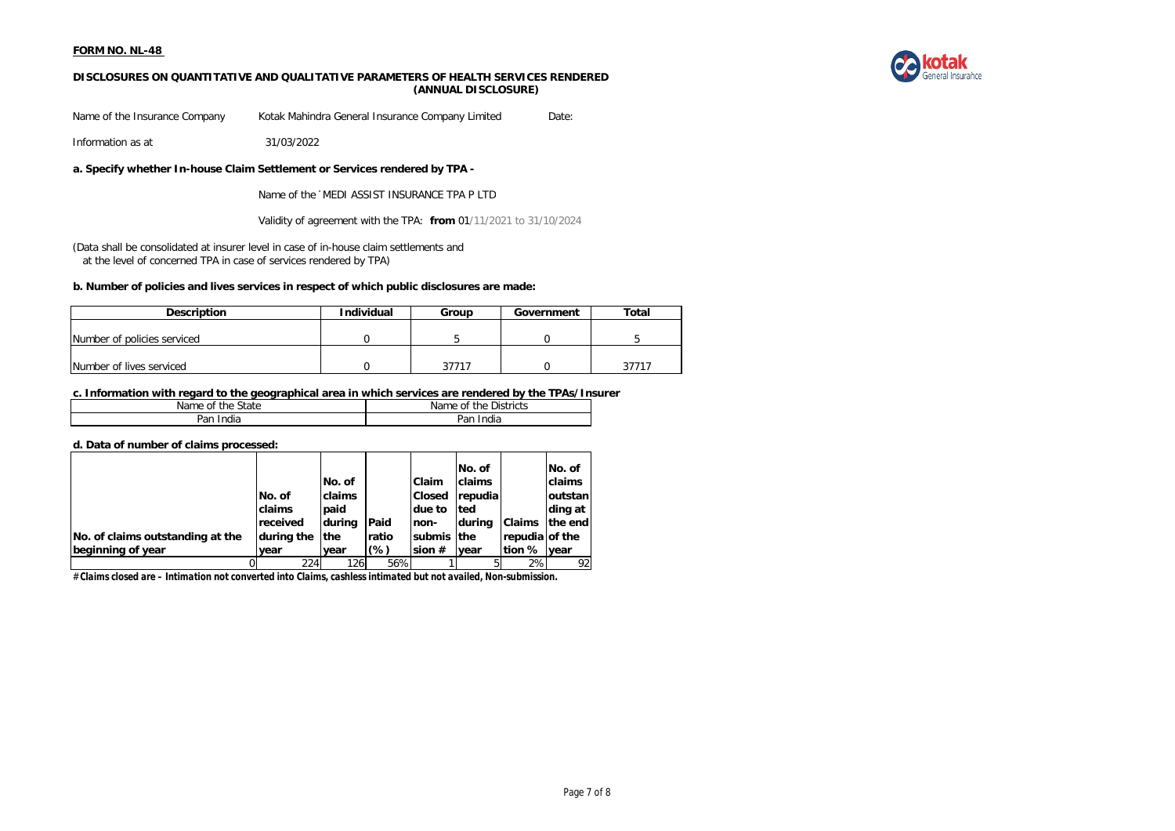

#### **DISCLOSURES ON QUANTITATIVE AND QUALITATIVE PARAMETERS OF HEALTH SERVICES RENDERED (ANNUAL DISCLOSURE)**

Name of the Insurance Company Kotak Mahindra General Insurance Company Limited Date:

Information as at 31/03/2022

**a. Specify whether In-house Claim Settlement or Services rendered by TPA -**

Name of the 'MEDI ASSIST INSURANCE TPA P LTD

Validity of agreement with the TPA: **from** 01/11/2021 to 31/10/2024

(Data shall be consolidated at insurer level in case of in-house claim settlements and at the level of concerned TPA in case of services rendered by TPA)

### **b. Number of policies and lives services in respect of which public disclosures are made:**

| <b>Description</b>          | Individual | Group | Government | Total |
|-----------------------------|------------|-------|------------|-------|
|                             |            |       |            |       |
| Number of policies serviced |            |       |            |       |
|                             |            |       |            |       |
| Number of lives serviced    |            | 37717 |            | 27717 |

#### **c. Information with regard to the geographical area in which services are rendered by the TPAs/Insurer**

| State<br>Name<br>the<br>οt | $\sim$ $\cdot$<br>Districts<br>Name<br>οt<br>the |
|----------------------------|--------------------------------------------------|
| Par<br>India               | <br>an,<br>'ndia                                 |

#### **d. Data of number of claims processed:**

|                                  |            |             |        |               | No. of      |                | No. of          |
|----------------------------------|------------|-------------|--------|---------------|-------------|----------------|-----------------|
|                                  |            | No. of      |        | <b>Claim</b>  | claims      |                | claims          |
|                                  | No. of     | claims      |        | <b>Closed</b> | repudia     |                | <b>loutstan</b> |
|                                  | claims     | paid        |        | due to        | <b>Ited</b> |                | ding at         |
|                                  | received   | during      | Paid   | non-          | durina      | <b>Claims</b>  | the end         |
| No. of claims outstanding at the | during the | <b>Ithe</b> | ratio  | submis the    |             | repudia of the |                 |
| beginning of year                | vear       | vear        | $(\%)$ | sion $#$      | vear        | tion % vear    |                 |
|                                  | 224        | 126         | 56%    |               |             | 2%             | 92              |

# *Claims closed are – Intimation not converted into Claims, cashless intimated but not availed, Non-submission.*